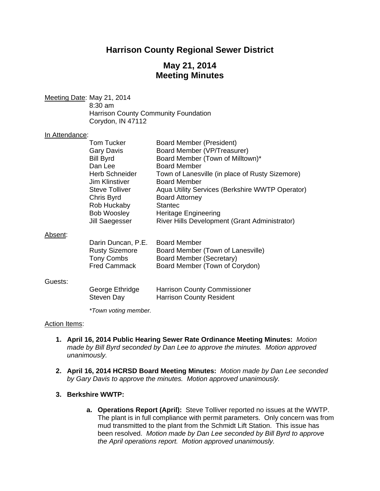# **Harrison County Regional Sewer District**

# **May 21, 2014 Meeting Minutes**

Meeting Date: May 21, 2014 8:30 am Harrison County Community Foundation Corydon, IN 47112 In Attendance: Tom Tucker Board Member (President) Gary Davis Board Member (VP/Treasurer) Bill Byrd Board Member (Town of Milltown)\* Dan Lee Board Member Herb Schneider Town of Lanesville (in place of Rusty Sizemore) Jim Klinstiver Board Member Steve Tolliver **Aqua Utility Services (Berkshire WWTP Operator)** Chris Byrd Board Attorney Rob Huckaby Stantec Bob Woosley Heritage Engineering Jill Saegesser River Hills Development (Grant Administrator) Absent: Darin Duncan, P.E. Board Member Rusty Sizemore Board Member (Town of Lanesville) Tony Combs Board Member (Secretary)<br>Fred Cammack Board Member (Town of Co Board Member (Town of Corydon) Guests: George Ethridge Harrison County Commissioner Steven Day **Harrison County Resident**  *\*Town voting member.* 

#### Action Items:

- **1. April 16, 2014 Public Hearing Sewer Rate Ordinance Meeting Minutes:** *Motion made by Bill Byrd seconded by Dan Lee to approve the minutes. Motion approved unanimously.*
- **2. April 16, 2014 HCRSD Board Meeting Minutes:** *Motion made by Dan Lee seconded by Gary Davis to approve the minutes. Motion approved unanimously.*

#### **3. Berkshire WWTP:**

**a. Operations Report (April):** Steve Tolliver reported no issues at the WWTP. The plant is in full compliance with permit parameters. Only concern was from mud transmitted to the plant from the Schmidt Lift Station. This issue has been resolved. *Motion made by Dan Lee seconded by Bill Byrd to approve the April operations report. Motion approved unanimously.*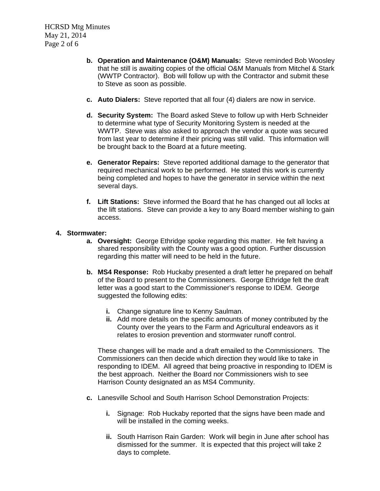HCRSD Mtg Minutes May 21, 2014 Page 2 of 6

- **b. Operation and Maintenance (O&M) Manuals:** Steve reminded Bob Woosley that he still is awaiting copies of the official O&M Manuals from Mitchel & Stark (WWTP Contractor). Bob will follow up with the Contractor and submit these to Steve as soon as possible.
- **c. Auto Dialers:** Steve reported that all four (4) dialers are now in service.
- **d. Security System:** The Board asked Steve to follow up with Herb Schneider to determine what type of Security Monitoring System is needed at the WWTP. Steve was also asked to approach the vendor a quote was secured from last year to determine if their pricing was still valid. This information will be brought back to the Board at a future meeting.
- **e. Generator Repairs:** Steve reported additional damage to the generator that required mechanical work to be performed. He stated this work is currently being completed and hopes to have the generator in service within the next several days.
- **f. Lift Stations:** Steve informed the Board that he has changed out all locks at the lift stations. Steve can provide a key to any Board member wishing to gain access.

## **4. Stormwater:**

- **a. Oversight:** George Ethridge spoke regarding this matter. He felt having a shared responsibility with the County was a good option. Further discussion regarding this matter will need to be held in the future.
- **b. MS4 Response:** Rob Huckaby presented a draft letter he prepared on behalf of the Board to present to the Commissioners. George Ethridge felt the draft letter was a good start to the Commissioner's response to IDEM. George suggested the following edits:
	- **i.** Change signature line to Kenny Saulman.
	- **ii.** Add more details on the specific amounts of money contributed by the County over the years to the Farm and Agricultural endeavors as it relates to erosion prevention and stormwater runoff control.

These changes will be made and a draft emailed to the Commissioners. The Commissioners can then decide which direction they would like to take in responding to IDEM. All agreed that being proactive in responding to IDEM is the best approach. Neither the Board nor Commissioners wish to see Harrison County designated an as MS4 Community.

- **c.** Lanesville School and South Harrison School Demonstration Projects:
	- **i.** Signage: Rob Huckaby reported that the signs have been made and will be installed in the coming weeks.
	- **ii.** South Harrison Rain Garden: Work will begin in June after school has dismissed for the summer. It is expected that this project will take 2 days to complete.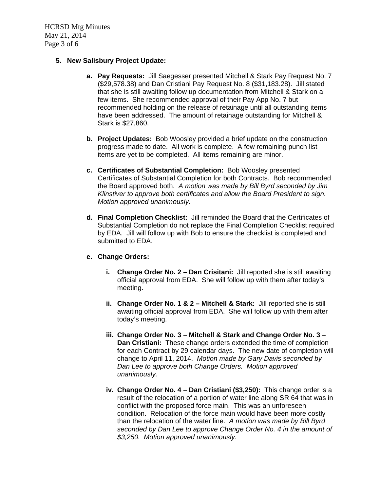HCRSD Mtg Minutes May 21, 2014 Page 3 of 6

# **5. New Salisbury Project Update:**

- **a. Pay Requests:** Jill Saegesser presented Mitchell & Stark Pay Request No. 7 (\$29,578.38) and Dan Cristiani Pay Request No. 8 (\$31,183.28). Jill stated that she is still awaiting follow up documentation from Mitchell & Stark on a few items. She recommended approval of their Pay App No. 7 but recommended holding on the release of retainage until all outstanding items have been addressed. The amount of retainage outstanding for Mitchell & Stark is \$27,860.
- **b. Project Updates:** Bob Woosley provided a brief update on the construction progress made to date. All work is complete. A few remaining punch list items are yet to be completed. All items remaining are minor.
- **c. Certificates of Substantial Completion:** Bob Woosley presented Certificates of Substantial Completion for both Contracts. Bob recommended the Board approved both. *A motion was made by Bill Byrd seconded by Jim Klinstiver to approve both certificates and allow the Board President to sign. Motion approved unanimously.*
- **d. Final Completion Checklist:** Jill reminded the Board that the Certificates of Substantial Completion do not replace the Final Completion Checklist required by EDA. Jill will follow up with Bob to ensure the checklist is completed and submitted to EDA.

#### **e. Change Orders:**

- **i. Change Order No. 2 Dan Crisitani:** Jill reported she is still awaiting official approval from EDA. She will follow up with them after today's meeting.
- **ii. Change Order No. 1 & 2 Mitchell & Stark:** Jill reported she is still awaiting official approval from EDA. She will follow up with them after today's meeting.
- **iii. Change Order No. 3 Mitchell & Stark and Change Order No. 3 Dan Cristiani:** These change orders extended the time of completion for each Contract by 29 calendar days. The new date of completion will change to April 11, 2014. *Motion made by Gary Davis seconded by Dan Lee to approve both Change Orders. Motion approved unanimously.*
- **iv. Change Order No. 4 Dan Cristiani (\$3,250):** This change order is a result of the relocation of a portion of water line along SR 64 that was in conflict with the proposed force main. This was an unforeseen condition. Relocation of the force main would have been more costly than the relocation of the water line. *A motion was made by Bill Byrd seconded by Dan Lee to approve Change Order No. 4 in the amount of \$3,250. Motion approved unanimously.*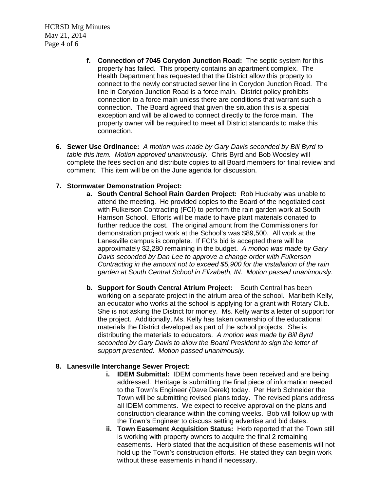HCRSD Mtg Minutes May 21, 2014 Page 4 of 6

- **f. Connection of 7045 Corydon Junction Road:** The septic system for this property has failed. This property contains an apartment complex. The Health Department has requested that the District allow this property to connect to the newly constructed sewer line in Corydon Junction Road. The line in Corydon Junction Road is a force main. District policy prohibits connection to a force main unless there are conditions that warrant such a connection. The Board agreed that given the situation this is a special exception and will be allowed to connect directly to the force main. The property owner will be required to meet all District standards to make this connection.
- **6. Sewer Use Ordinance:** *A motion was made by Gary Davis seconded by Bill Byrd to table this item. Motion approved unanimously.* Chris Byrd and Bob Woosley will complete the fees section and distribute copies to all Board members for final review and comment. This item will be on the June agenda for discussion.

## **7. Stormwater Demonstration Project:**

- **a. South Central School Rain Garden Project:** Rob Huckaby was unable to attend the meeting. He provided copies to the Board of the negotiated cost with Fulkerson Contracting (FCI) to perform the rain garden work at South Harrison School. Efforts will be made to have plant materials donated to further reduce the cost. The original amount from the Commissioners for demonstration project work at the School's was \$89,500. All work at the Lanesville campus is complete. If FCI's bid is accepted there will be approximately \$2,280 remaining in the budget. *A motion was made by Gary Davis seconded by Dan Lee to approve a change order with Fulkerson Contracting in the amount not to exceed \$5,900 for the installation of the rain garden at South Central School in Elizabeth, IN. Motion passed unanimously.*
- **b. Support for South Central Atrium Project:** South Central has been working on a separate project in the atrium area of the school. Maribeth Kelly, an educator who works at the school is applying for a grant with Rotary Club. She is not asking the District for money. Ms. Kelly wants a letter of support for the project. Additionally, Ms. Kelly has taken ownership of the educational materials the District developed as part of the school projects. She is distributing the materials to educators. *A motion was made by Bill Byrd seconded by Gary Davis to allow the Board President to sign the letter of support presented. Motion passed unanimously.*

# **8. Lanesville Interchange Sewer Project:**

- **i. IDEM Submittal:** IDEM comments have been received and are being addressed. Heritage is submitting the final piece of information needed to the Town's Engineer (Dave Derek) today. Per Herb Schneider the Town will be submitting revised plans today. The revised plans address all IDEM comments. We expect to receive approval on the plans and construction clearance within the coming weeks. Bob will follow up with the Town's Engineer to discuss setting advertise and bid dates.
- **ii. Town Easement Acquisition Status:** Herb reported that the Town still is working with property owners to acquire the final 2 remaining easements. Herb stated that the acquisition of these easements will not hold up the Town's construction efforts. He stated they can begin work without these easements in hand if necessary.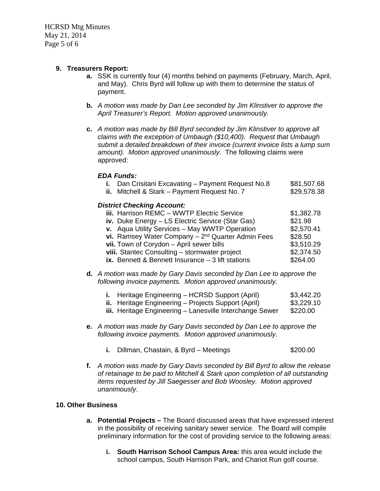HCRSD Mtg Minutes May 21, 2014 Page 5 of 6

# **9. Treasurers Report:**

- **a.** SSK is currently four (4) months behind on payments (February, March, April, and May). Chris Byrd will follow up with them to determine the status of payment.
- **b.** *A motion was made by Dan Lee seconded by Jim Klinstiver to approve the April Treasurer's Report. Motion approved unanimously.*
- **c.** *A motion was made by Bill Byrd seconded by Jim Klinstiver to approve all claims with the exception of Umbaugh (\$10,400). Request that Umbaugh submit a detailed breakdown of their invoice (current invoice lists a lump sum amount). Motion approved unanimously.* The following claims were approved:

#### *EDA Funds:*

|                                   | i. Dan Crisitani Excavating - Payment Request No.8    | \$81,507.68 |  |
|-----------------------------------|-------------------------------------------------------|-------------|--|
|                                   | ii. Mitchell & Stark - Payment Request No. 7          | \$29,578.38 |  |
| <b>District Checking Account:</b> |                                                       |             |  |
|                                   | iii. Harrison REMC - WWTP Electric Service            | \$1,382.78  |  |
|                                   | iv. Duke Energy - LS Electric Service (Star Gas)      | \$21.98     |  |
|                                   | v. Aqua Utility Services - May WWTP Operation         | \$2,570.41  |  |
|                                   | vi. Ramsey Water Company $-2^{nd}$ Quarter Admin Fees | \$28.50     |  |
|                                   | vii. Town of Corydon - April sewer bills              | \$3,510.29  |  |
|                                   | viii. Stantec Consulting - stormwater project         | \$2,374.50  |  |
|                                   | ix. Bennett & Bennett Insurance $-3$ lift stations    | \$264.00    |  |
|                                   |                                                       |             |  |

**d.** *A motion was made by Gary Davis seconded by Dan Lee to approve the following invoice payments. Motion approved unanimously.* 

| <b>i.</b> Heritage Engineering – HCRSD Support (April)     | \$3,442.20 |
|------------------------------------------------------------|------------|
| <b>ii.</b> Heritage Engineering – Projects Support (April) | \$3,229.10 |
| iii. Heritage Engineering – Lanesville Interchange Sewer   | \$220.00   |

- **e.** *A motion was made by Gary Davis seconded by Dan Lee to approve the following invoice payments. Motion approved unanimously*.
	- **i.** Dillman, Chastain, & Byrd Meetings  $$200.00$
- **f.** *A motion was made by Gary Davis seconded by Bill Byrd to allow the release of retainage to be paid to Mitchell & Stark upon completion of all outstanding items requested by Jill Saegesser and Bob Woosley. Motion approved unanimously*.

#### **10. Other Business**

- **a. Potential Projects** The Board discussed areas that have expressed interest in the possibility of receiving sanitary sewer service. The Board will compile preliminary information for the cost of providing service to the following areas:
	- **i. South Harrison School Campus Area:** this area would include the school campus, South Harrison Park, and Chariot Run golf course.